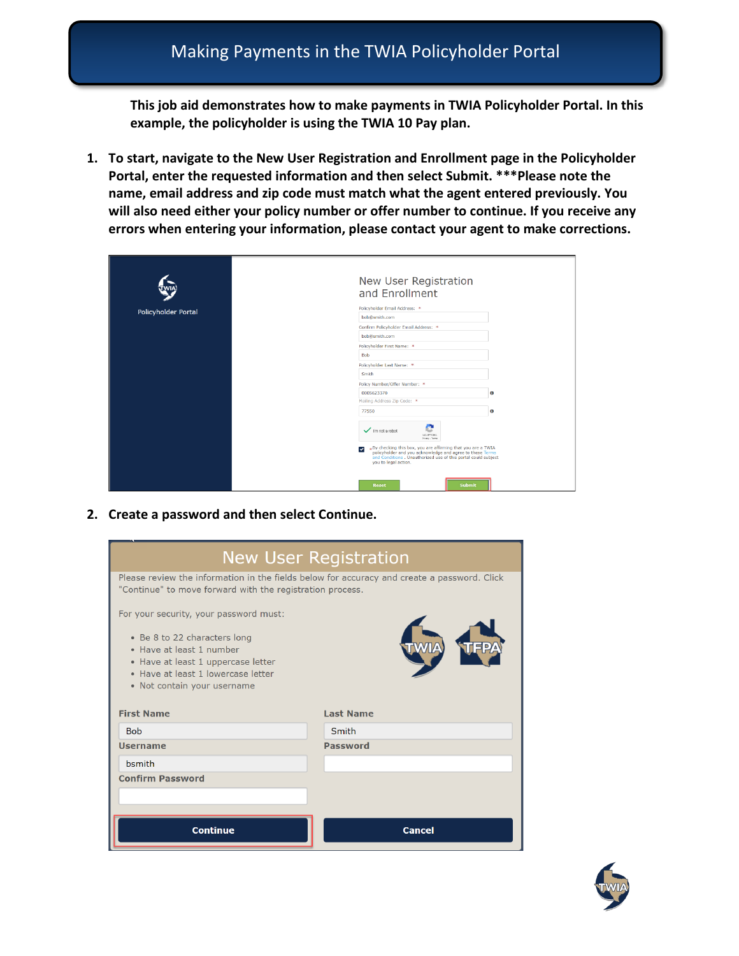**This job aid demonstrates how to make payments in TWIA Policyholder Portal. In this example, the policyholder is using the TWIA 10 Pay plan.** 

**1. To start, navigate to the New User Registration and Enrollment page in the Policyholder Portal, enter the requested information and then select Submit. \*\*\*Please note the name, email address and zip code must match what the agent entered previously. You will also need either your policy number or offer number to continue. If you receive any errors when entering your information, please contact your agent to make corrections.** 

|                            | New User Registration<br>and Enrollment                 |                                                                                                                                                                                                                                       |           |
|----------------------------|---------------------------------------------------------|---------------------------------------------------------------------------------------------------------------------------------------------------------------------------------------------------------------------------------------|-----------|
| <b>Policyholder Portal</b> | Policyholder Email Address: *                           |                                                                                                                                                                                                                                       |           |
|                            | bob@smith.com                                           |                                                                                                                                                                                                                                       |           |
|                            | Confirm Policyholder Email Address: *                   |                                                                                                                                                                                                                                       |           |
|                            | bob@smith.com                                           |                                                                                                                                                                                                                                       |           |
|                            | Policyholder First Name: *                              |                                                                                                                                                                                                                                       |           |
|                            | <b>Bob</b>                                              |                                                                                                                                                                                                                                       |           |
|                            | Policyholder Last Name: *                               |                                                                                                                                                                                                                                       |           |
|                            | Smith                                                   |                                                                                                                                                                                                                                       |           |
|                            | Policy Number/Offer Number: *                           |                                                                                                                                                                                                                                       |           |
|                            | 0005623370                                              |                                                                                                                                                                                                                                       | o         |
|                            | Mailing Address Zip Code: *                             |                                                                                                                                                                                                                                       |           |
|                            | 77550                                                   |                                                                                                                                                                                                                                       | $\bullet$ |
|                            | I'm not a robot<br>$\checkmark$<br>you to legal action. | ÷<br>к.<br>NGAPTCHA<br>Privacy - Terms<br>*By checking this box, you are affirming that you are a TWIA<br>policyholder and you acknowledge and agree to these Terms<br>and Conditions . Unauthorized use of this portal could subject |           |
|                            | Reset                                                   | Submit                                                                                                                                                                                                                                |           |

**2. Create a password and then select Continue.** 

| <b>New User Registration</b>                                                                                                                                        |                  |  |  |  |
|---------------------------------------------------------------------------------------------------------------------------------------------------------------------|------------------|--|--|--|
| Please review the information in the fields below for accuracy and create a password. Click<br>"Continue" to move forward with the registration process.            |                  |  |  |  |
| For your security, your password must:                                                                                                                              |                  |  |  |  |
| • Be 8 to 22 characters long<br>• Have at least 1 number<br>• Have at least 1 uppercase letter<br>• Have at least 1 lowercase letter<br>• Not contain your username |                  |  |  |  |
| <b>First Name</b>                                                                                                                                                   | <b>Last Name</b> |  |  |  |
| <b>Bob</b>                                                                                                                                                          | Smith            |  |  |  |
| <b>Username</b>                                                                                                                                                     | <b>Password</b>  |  |  |  |
| <b>b</b> smith                                                                                                                                                      |                  |  |  |  |
| <b>Confirm Password</b>                                                                                                                                             |                  |  |  |  |
|                                                                                                                                                                     |                  |  |  |  |
| <b>Continue</b><br><b>Cancel</b>                                                                                                                                    |                  |  |  |  |

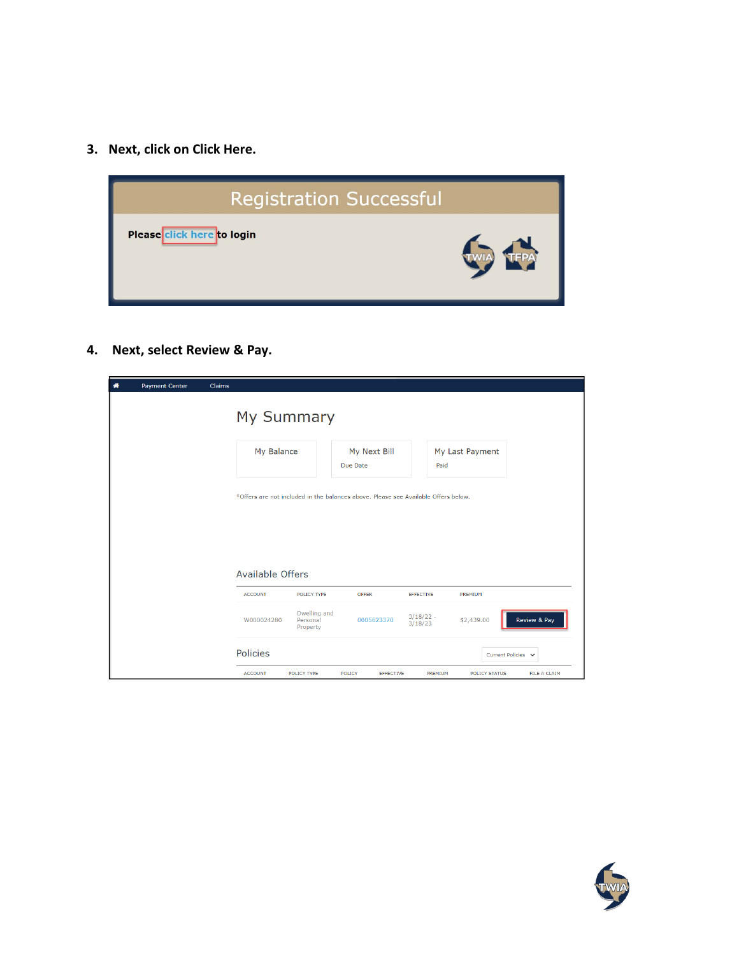**3. Next, click on Click Here.** 



**4. Next, select Review & Pay.** 

| <b>Payment Center</b><br>眷 | Claims                  |                                      |                                                                                    |                        |                      |                    |
|----------------------------|-------------------------|--------------------------------------|------------------------------------------------------------------------------------|------------------------|----------------------|--------------------|
|                            | My Summary              |                                      |                                                                                    |                        |                      |                    |
|                            | My Balance              |                                      | My Next Bill<br>Due Date                                                           | Paid                   | My Last Payment      |                    |
|                            |                         |                                      | *Offers are not included in the balances above. Please see Available Offers below. |                        |                      |                    |
|                            |                         |                                      |                                                                                    |                        |                      |                    |
|                            | <b>Available Offers</b> |                                      |                                                                                    |                        |                      |                    |
|                            | <b>ACCOUNT</b>          | POLICY TYPE                          | OFFER                                                                              | <b>EFFECTIVE</b>       | PREMIUM              |                    |
|                            | W000024280              | Dwelling and<br>Personal<br>Property | 0005623370                                                                         | $3/18/22 -$<br>3/18/23 | \$2,439.00           | Review & Pay       |
|                            | <b>Policies</b>         |                                      |                                                                                    |                        |                      | Current Policies V |
|                            | <b>ACCOUNT</b>          | POLICY TYPE                          | <b>POLICY</b><br><b>EFFECTIVE</b>                                                  | PREMIUM                | <b>POLICY STATUS</b> | FILE A CLAIM       |

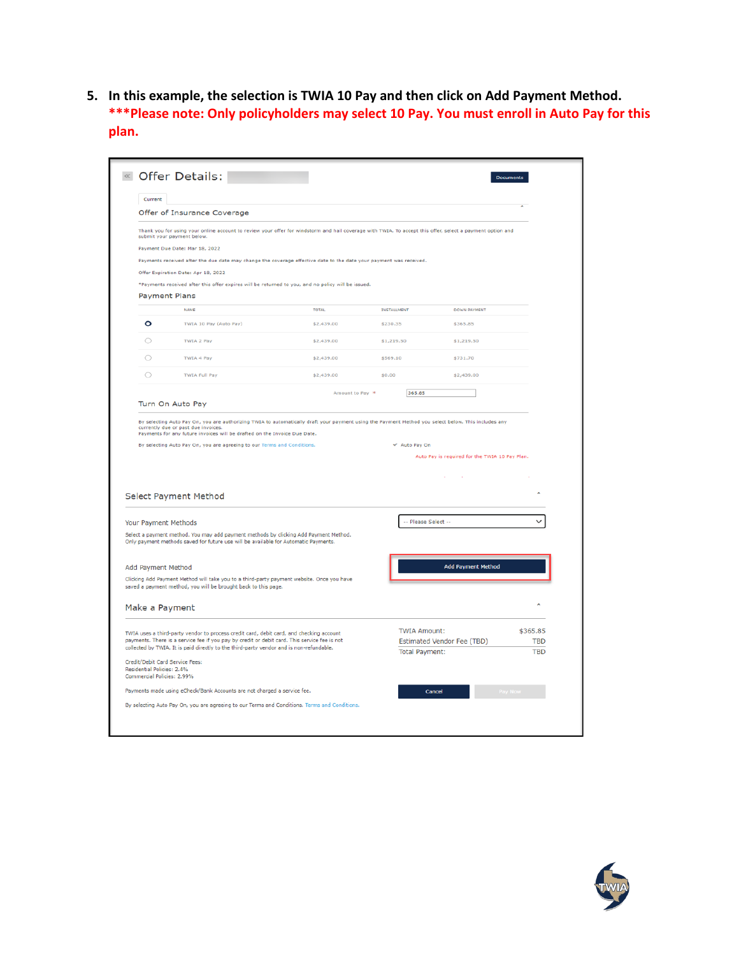**5. In this example, the selection is TWIA 10 Pay and then click on Add Payment Method. \*\*\*Please note: Only policyholders may select 10 Pay. You must enroll in Auto Pay for this plan.** 

| Current                                                  |                                                                                                                                                                                                                                                                                                                                                    |                 |                       |                                                |                        |
|----------------------------------------------------------|----------------------------------------------------------------------------------------------------------------------------------------------------------------------------------------------------------------------------------------------------------------------------------------------------------------------------------------------------|-----------------|-----------------------|------------------------------------------------|------------------------|
|                                                          | Offer of Insurance Coverage                                                                                                                                                                                                                                                                                                                        |                 |                       |                                                |                        |
|                                                          | Thank you for using your online account to review your offer for windstorm and hail coverage with TWIA. To accept this offer, select a payment option and<br>submit your payment below.                                                                                                                                                            |                 |                       |                                                |                        |
|                                                          | Payment Due Date: Mar 18, 2022                                                                                                                                                                                                                                                                                                                     |                 |                       |                                                |                        |
|                                                          | Payments received after the due date may change the coverage effective date to the date your payment was received.                                                                                                                                                                                                                                 |                 |                       |                                                |                        |
|                                                          | Offer Expiration Date: Apr 18, 2022                                                                                                                                                                                                                                                                                                                |                 |                       |                                                |                        |
|                                                          | *Payments received after this offer expires will be returned to you, and no policy will be issued.                                                                                                                                                                                                                                                 |                 |                       |                                                |                        |
|                                                          | <b>Payment Plans</b>                                                                                                                                                                                                                                                                                                                               |                 |                       |                                                |                        |
|                                                          | <b>NAME</b>                                                                                                                                                                                                                                                                                                                                        | <b>TOTAL</b>    | <b>INSTALLMENT</b>    | <b>DOWN PAYMENT</b>                            |                        |
| o                                                        | TWIA 10 Pay (Auto Pay)                                                                                                                                                                                                                                                                                                                             | \$2,439.00      | \$230.35              | \$365.85                                       |                        |
| O                                                        | TWIA 2 Pay                                                                                                                                                                                                                                                                                                                                         | \$2,439.00      | \$1,219.50            | \$1,219.50                                     |                        |
| $\circ$                                                  | <b>TWIA 4 Pay</b>                                                                                                                                                                                                                                                                                                                                  | \$2,439.00      | \$569.10              | \$731.70                                       |                        |
| $\circ$                                                  | <b>TWIA Full Pay</b>                                                                                                                                                                                                                                                                                                                               | \$2,439.00      | \$0.00                | \$2,439.00                                     |                        |
|                                                          |                                                                                                                                                                                                                                                                                                                                                    | Amount to Pay * | 365.85                |                                                |                        |
|                                                          | Turn On Auto Pay                                                                                                                                                                                                                                                                                                                                   |                 |                       |                                                |                        |
|                                                          | By selecting Auto Pay On, you are authorizing TWIA to automatically draft your payment using the Payment Method you select below. This includes any<br>currently due or past due invoices.<br>Payments for any future invoices will be drafted on the Invoice Due Date.<br>By selecting Auto Pay On, you are agreeing to our Terms and Conditions. |                 | Auto Pay On           | Auto Pay is required for the TWIA 10 Pay Plan. |                        |
|                                                          | Select Payment Method                                                                                                                                                                                                                                                                                                                              |                 |                       |                                                | Ä                      |
|                                                          |                                                                                                                                                                                                                                                                                                                                                    |                 |                       |                                                | $\checkmark$           |
| Your Payment Methods                                     |                                                                                                                                                                                                                                                                                                                                                    |                 | -- Please Select --   |                                                |                        |
|                                                          | Select a payment method. You may add payment methods by clicking Add Payment Method.<br>Only payment methods saved for future use will be available for Automatic Payments.                                                                                                                                                                        |                 |                       |                                                |                        |
|                                                          |                                                                                                                                                                                                                                                                                                                                                    |                 |                       |                                                |                        |
| Add Payment Method                                       |                                                                                                                                                                                                                                                                                                                                                    |                 |                       | <b>Add Payment Method</b>                      |                        |
|                                                          | Clicking Add Payment Method will take you to a third-party payment website. Once you have<br>saved a payment method, you will be brought back to this page.                                                                                                                                                                                        |                 |                       |                                                |                        |
| Make a Payment                                           |                                                                                                                                                                                                                                                                                                                                                    |                 |                       |                                                | ۸                      |
|                                                          |                                                                                                                                                                                                                                                                                                                                                    |                 |                       |                                                |                        |
|                                                          | TWIA uses a third-party vendor to process credit card, debit card, and checking account<br>payments. There is a service fee if you pay by credit or debit card. This service fee is not                                                                                                                                                            |                 | <b>TWIA Amount:</b>   |                                                | \$365.85<br><b>TBD</b> |
|                                                          | collected by TWIA. It is paid directly to the third-party vendor and is non-refundable.                                                                                                                                                                                                                                                            |                 | <b>Total Payment:</b> | Estimated Vendor Fee (TBD)                     | <b>TBD</b>             |
|                                                          | Credit/Debit Card Service Fees:                                                                                                                                                                                                                                                                                                                    |                 |                       |                                                |                        |
| Residential Policies: 2.4%<br>Commercial Policies: 2.99% |                                                                                                                                                                                                                                                                                                                                                    |                 |                       |                                                |                        |
|                                                          | Payments made using eCheck/Bank Accounts are not charged a service fee.                                                                                                                                                                                                                                                                            |                 |                       | Cancel                                         |                        |

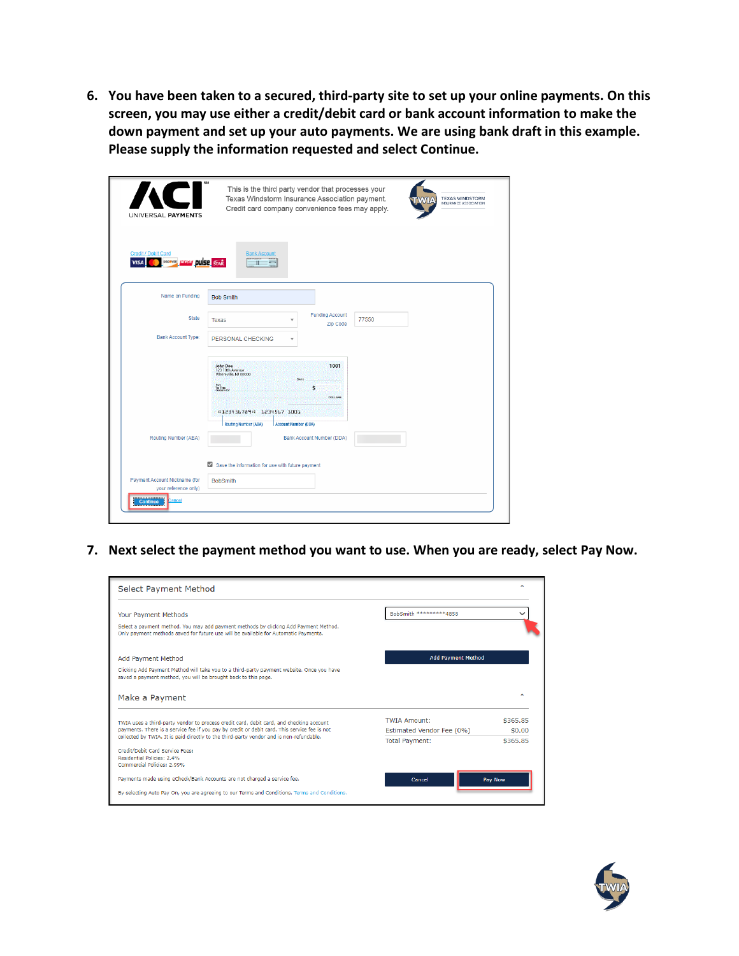**6. You have been taken to a secured, third-party site to set up your online payments. On this screen, you may use either a credit/debit card or bank account information to make the down payment and set up your auto payments. We are using bank draft in this example. Please supply the information requested and select Continue.** 

| UNIVERSAL PAYMENTS                                             | This is the third party vendor that processes your<br>Texas Windstorm Insurance Association payment.<br><b>TEXAS WINDSTORM</b><br><b>INSURANCE ASSOCIATION</b><br>Credit card company convenience fees may apply.  |
|----------------------------------------------------------------|--------------------------------------------------------------------------------------------------------------------------------------------------------------------------------------------------------------------|
| Credit / Debit Card<br><b>DISCOVER</b><br><b>EXCHE</b><br>VISA | <b>Bank Account</b><br><b>DUISE STAR</b><br>$\equiv$                                                                                                                                                               |
| Name on Funding                                                | <b>Bob Smith</b>                                                                                                                                                                                                   |
| <b>State</b>                                                   | <b>Funding Account</b><br>77550<br><b>Texas</b><br>v<br>Zip Code                                                                                                                                                   |
| <b>Bank Account Type:</b>                                      | PERSONAL CHECKING<br>$\mathbf{v}$                                                                                                                                                                                  |
|                                                                | 1001<br><b>John Doe</b><br>123 10th Avenue<br>Whereville, NJ 00000<br><b>DATE</b><br>PAY<br>TO THE<br>ORDER OF<br>\$<br><b>DOLLARS</b><br>+123456789+ 1234567 1001<br>Routing Number (ABA)<br>Account Number (DDA) |
| Routing Number (ABA)                                           | <b>Bank Account Number (DDA)</b><br>Save the information for use with future payment                                                                                                                               |
| Payment Account Nickname (for<br>your reference only)          | <b>BobSmith</b>                                                                                                                                                                                                    |
| Continue<br>cancel                                             |                                                                                                                                                                                                                    |

**7. Next select the payment method you want to use. When you are ready, select Pay Now.** 

| Select Payment Method                                                                                                                                                       |                           |          |
|-----------------------------------------------------------------------------------------------------------------------------------------------------------------------------|---------------------------|----------|
| Your Payment Methods                                                                                                                                                        | BobSmith *********4858    |          |
| Select a payment method. You may add payment methods by clicking Add Payment Method.<br>Only payment methods saved for future use will be available for Automatic Payments. |                           |          |
| Add Payment Method                                                                                                                                                          | <b>Add Payment Method</b> |          |
| Clicking Add Payment Method will take you to a third-party payment website. Once you have<br>saved a payment method, you will be brought back to this page.                 |                           |          |
| Make a Payment                                                                                                                                                              |                           | ۸        |
| TWIA uses a third-party vendor to process credit card, debit card, and checking account                                                                                     | <b>TWIA Amount:</b>       | \$365.85 |
| payments. There is a service fee if you pay by credit or debit card. This service fee is not                                                                                | Estimated Vendor Fee (0%) | \$0.00   |
| collected by TWIA. It is paid directly to the third-party vendor and is non-refundable.                                                                                     | <b>Total Payment:</b>     | \$365.85 |
| Credit/Debit Card Service Fees:<br>Residential Policies: 2.4%<br>Commercial Policies: 2.99%                                                                                 |                           |          |
| Payments made using eCheck/Bank Accounts are not charged a service fee.                                                                                                     | Cancel                    | Pav Now  |
| By selecting Auto Pay On, you are agreeing to our Terms and Conditions. Terms and Conditions.                                                                               |                           |          |

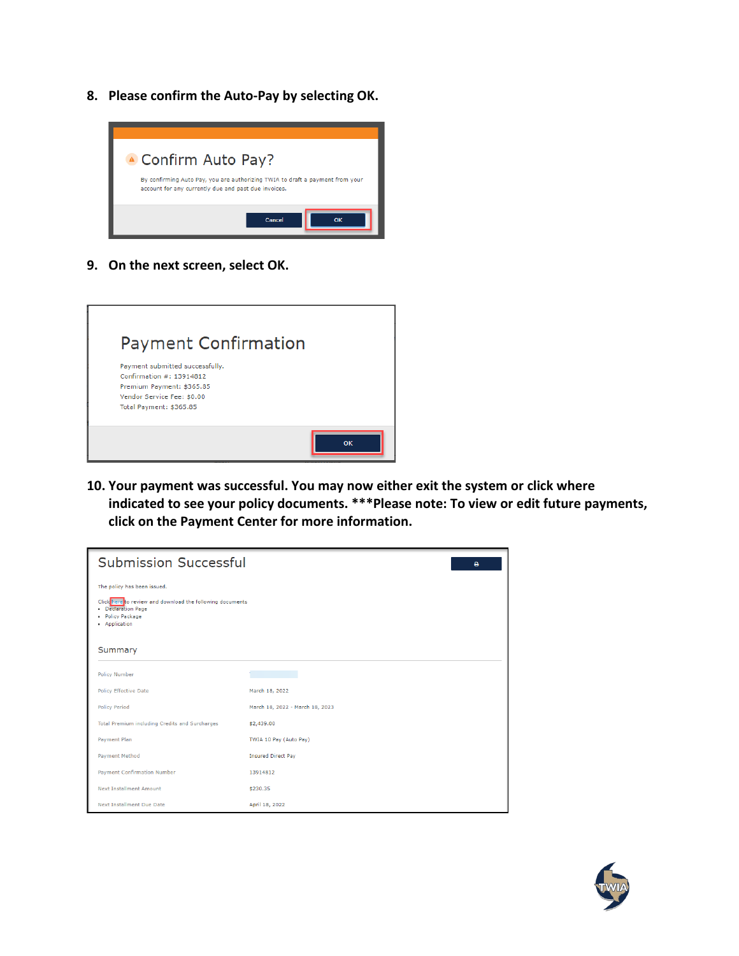**8. Please confirm the Auto-Pay by selecting OK.** 



**9. On the next screen, select OK.** 

| <b>Payment Confirmation</b>                                                                                                                       |    |
|---------------------------------------------------------------------------------------------------------------------------------------------------|----|
| Payment submitted successfully.<br>Confirmation #: 13914812<br>Premium Payment: \$365.85<br>Vendor Service Fee: \$0.00<br>Total Payment: \$365.85 |    |
|                                                                                                                                                   | OK |

**10. Your payment was successful. You may now either exit the system or click where indicated to see your policy documents. \*\*\*Please note: To view or edit future payments, click on the Payment Center for more information.** 

| <b>Submission Successful</b>                                                                                                                                   | ٥                               |
|----------------------------------------------------------------------------------------------------------------------------------------------------------------|---------------------------------|
| The policy has been issued.<br>Click here to review and download the following documents<br>• Declaration Page<br>· Policy Package<br>• Application<br>Summary |                                 |
| <b>Policy Number</b>                                                                                                                                           |                                 |
| <b>Policy Effective Date</b>                                                                                                                                   | March 18, 2022                  |
| <b>Policy Period</b>                                                                                                                                           | March 18, 2022 - March 18, 2023 |
| Total Premium including Credits and Surcharges                                                                                                                 | \$2,439.00                      |
| Payment Plan                                                                                                                                                   | TWIA 10 Pay (Auto Pay)          |
| <b>Payment Method</b>                                                                                                                                          | <b>Insured Direct Pay</b>       |
| <b>Payment Confirmation Number</b>                                                                                                                             | 13914812                        |
| <b>Next Installment Amount</b>                                                                                                                                 | \$230.35                        |
| <b>Next Installment Due Date</b>                                                                                                                               | April 18, 2022                  |